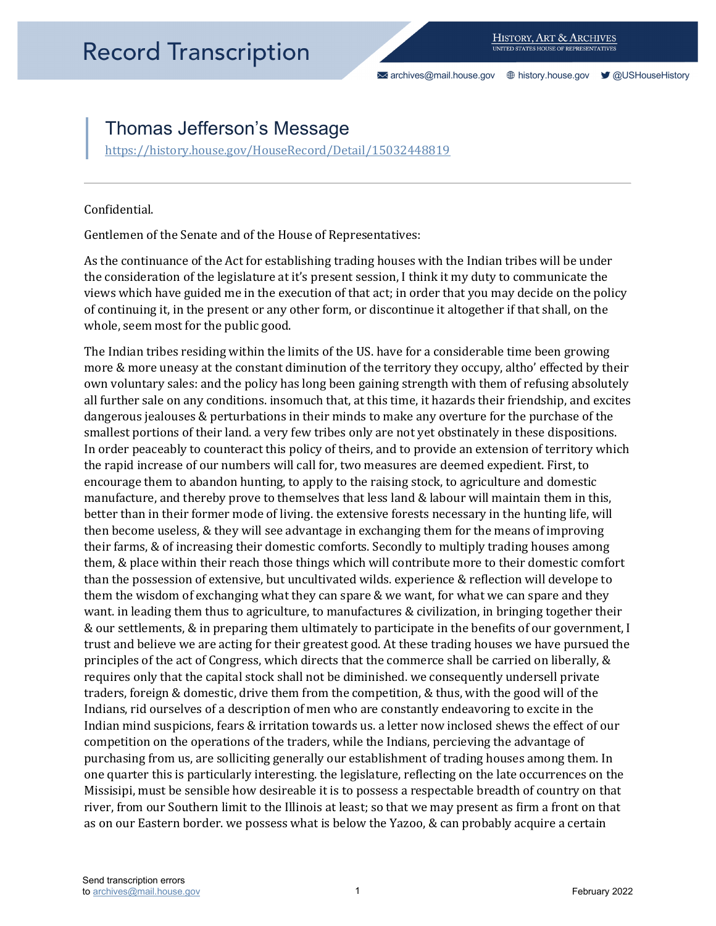[archives@mail.house.gov](mailto:archives@mail.house.gov) [history.house.gov](https://history.house.gov/) [@USHouseHistory](https://twitter.com/ushousehistory/) 

## Thomas Jefferson's Message

https://history.house.gov/HouseRecord/Detail/15032448819<br>Confidential.

Gentlemen of the Senate and of the House of Representatives:

 of continuing it, in the present or any other form, or discontinue it altogether if that shall, on the whole, seem most for the public good. As the continuance of the Act for establishing trading houses with the Indian tribes will be under the consideration of the legislature at it's present session, I think it my duty to communicate the views which have guided me in the execution of that act; in order that you may decide on the policy

 more & more uneasy at the constant diminution of the territory they occupy, altho' effected by their all further sale on any conditions. insomuch that, at this time, it hazards their friendship, and excites & our settlements, & in preparing them ultimately to participate in the benefits of our government, I trust and believe we are acting for their greatest good. At these trading houses we have pursued the principles of the act of Congress, which directs that the commerce shall be carried on liberally, & purchasing from us, are solliciting generally our establishment of trading houses among them. In The Indian tribes residing within the limits of the US. have for a considerable time been growing own voluntary sales: and the policy has long been gaining strength with them of refusing absolutely dangerous jealouses & perturbations in their minds to make any overture for the purchase of the smallest portions of their land. a very few tribes only are not yet obstinately in these dispositions. In order peaceably to counteract this policy of theirs, and to provide an extension of territory which the rapid increase of our numbers will call for, two measures are deemed expedient. First, to encourage them to abandon hunting, to apply to the raising stock, to agriculture and domestic manufacture, and thereby prove to themselves that less land & labour will maintain them in this, better than in their former mode of living. the extensive forests necessary in the hunting life, will then become useless, & they will see advantage in exchanging them for the means of improving their farms, & of increasing their domestic comforts. Secondly to multiply trading houses among them, & place within their reach those things which will contribute more to their domestic comfort than the possession of extensive, but uncultivated wilds. experience & reflection will develope to them the wisdom of exchanging what they can spare & we want, for what we can spare and they want. in leading them thus to agriculture, to manufactures & civilization, in bringing together their requires only that the capital stock shall not be diminished. we consequently undersell private traders, foreign & domestic, drive them from the competition, & thus, with the good will of the Indians, rid ourselves of a description of men who are constantly endeavoring to excite in the Indian mind suspicions, fears & irritation towards us. a letter now inclosed shews the effect of our competition on the operations of the traders, while the Indians, percieving the advantage of one quarter this is particularly interesting. the legislature, reflecting on the late occurrences on the Missisipi, must be sensible how desireable it is to possess a respectable breadth of country on that river, from our Southern limit to the Illinois at least; so that we may present as firm a front on that as on our Eastern border. we possess what is below the Yazoo, & can probably acquire a certain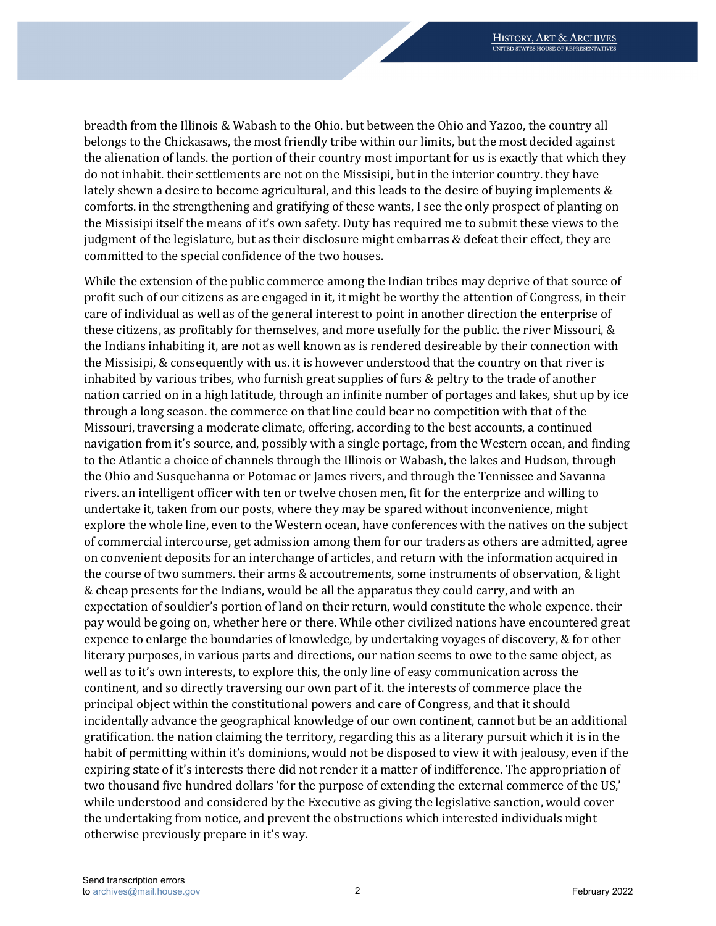the alienation of lands. the portion of their country most important for us is exactly that which they the Missisipi itself the means of it's own safety. Duty has required me to submit these views to the judgment of the legislature, but as their disclosure might embarras & defeat their effect, they are breadth from the Illinois & Wabash to the Ohio. but between the Ohio and Yazoo, the country all belongs to the Chickasaws, the most friendly tribe within our limits, but the most decided against do not inhabit. their settlements are not on the Missisipi, but in the interior country. they have lately shewn a desire to become agricultural, and this leads to the desire of buying implements & comforts. in the strengthening and gratifying of these wants, I see the only prospect of planting on committed to the special confidence of the two houses.

 profit such of our citizens as are engaged in it, it might be worthy the attention of Congress, in their these citizens, as profitably for themselves, and more usefully for the public. the river Missouri, & inhabited by various tribes, who furnish great supplies of furs & peltry to the trade of another nation carried on in a high latitude, through an infinite number of portages and lakes, shut up by ice through a long season. the commerce on that line could bear no competition with that of the Missouri, traversing a moderate climate, offering, according to the best accounts, a continued navigation from it's source, and, possibly with a single portage, from the Western ocean, and finding undertake it, taken from our posts, where they may be spared without inconvenience, might expectation of souldier's portion of land on their return, would constitute the whole expence. their gratification. the nation claiming the territory, regarding this as a literary pursuit which it is in the expiring state of it's interests there did not render it a matter of indifference. The appropriation of two thousand five hundred dollars 'for the purpose of extending the external commerce of the US,' while understood and considered by the Executive as giving the legislative sanction, would cover While the extension of the public commerce among the Indian tribes may deprive of that source of care of individual as well as of the general interest to point in another direction the enterprise of the Indians inhabiting it, are not as well known as is rendered desireable by their connection with the Missisipi, & consequently with us. it is however understood that the country on that river is to the Atlantic a choice of channels through the Illinois or Wabash, the lakes and Hudson, through the Ohio and Susquehanna or Potomac or James rivers, and through the Tennissee and Savanna rivers. an intelligent officer with ten or twelve chosen men, fit for the enterprize and willing to explore the whole line, even to the Western ocean, have conferences with the natives on the subject of commercial intercourse, get admission among them for our traders as others are admitted, agree on convenient deposits for an interchange of articles, and return with the information acquired in the course of two summers. their arms & accoutrements, some instruments of observation, & light & cheap presents for the Indians, would be all the apparatus they could carry, and with an pay would be going on, whether here or there. While other civilized nations have encountered great expence to enlarge the boundaries of knowledge, by undertaking voyages of discovery, & for other literary purposes, in various parts and directions, our nation seems to owe to the same object, as well as to it's own interests, to explore this, the only line of easy communication across the continent, and so directly traversing our own part of it. the interests of commerce place the principal object within the constitutional powers and care of Congress, and that it should incidentally advance the geographical knowledge of our own continent, cannot but be an additional habit of permitting within it's dominions, would not be disposed to view it with jealousy, even if the the undertaking from notice, and prevent the obstructions which interested individuals might otherwise previously prepare in it's way.